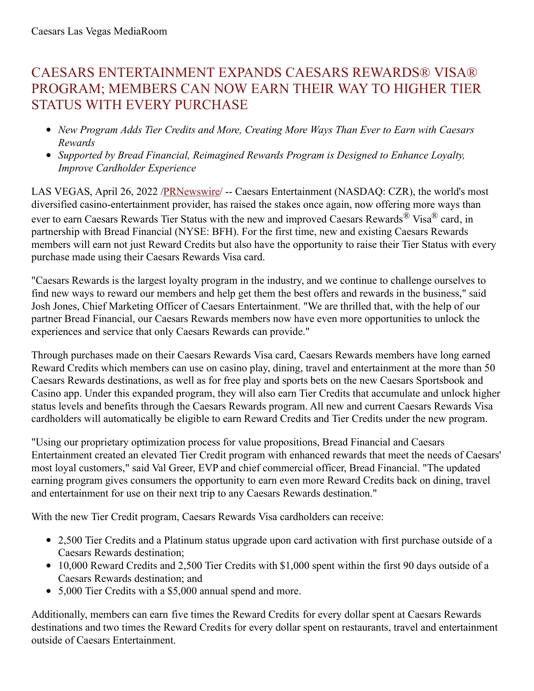## CAESARS ENTERTAINMENT EXPANDS CAESARS REWARDS® VISA® PROGRAM; MEMBERS CAN NOW EARN THEIR WAY TO HIGHER TIER STATUS WITH EVERY PURCHASE

- *New Program Adds Tier Credits and More, Creating More Ways Than Ever to Earn with Caesars Rewards*
- *Supported by Bread Financial, Reimagined Rewards Program is Designed to Enhance Loyalty, Improve Cardholder Experience*

LAS VEGAS, April 26, 2022 /**PRNewswire/** -- Caesars Entertainment (NASDAQ: CZR), the world's most diversified casino-entertainment provider, has raised the stakes once again, now offering more ways than ever to earn Caesars Rewards Tier Status with the new and improved Caesars Rewards® Visa® card, in partnership with Bread Financial (NYSE: BFH). For the first time, new and existing Caesars Rewards members will earn not just Reward Credits but also have the opportunity to raise their Tier Status with every purchase made using their Caesars Rewards Visa card.

"Caesars Rewards is the largest loyalty program in the industry, and we continue to challenge ourselves to find new ways to reward our members and help get them the best offers and rewards in the business," said Josh Jones, Chief Marketing Officer of Caesars Entertainment. "We are thrilled that, with the help of our partner Bread Financial, our Caesars Rewards members now have even more opportunities to unlock the experiences and service that only Caesars Rewards can provide."

Through purchases made on their Caesars Rewards Visa card, Caesars Rewards members have long earned Reward Credits which members can use on casino play, dining, travel and entertainment at the more than 50 Caesars Rewards destinations, as well as for free play and sports bets on the new Caesars Sportsbook and Casino app. Under this expanded program, they will also earn Tier Credits that accumulate and unlock higher status levels and benefits through the Caesars Rewards program. All new and current Caesars Rewards Visa cardholders will automatically be eligible to earn Reward Credits and Tier Credits under the new program.

"Using our proprietary optimization process for value propositions, Bread Financial and Caesars Entertainment created an elevated Tier Credit program with enhanced rewards that meet the needs of Caesars' most loyal customers," said Val Greer, EVP and chief commercial officer, Bread Financial. "The updated earning program gives consumers the opportunity to earn even more Reward Credits back on dining, travel and entertainment for use on their next trip to any Caesars Rewards destination."

With the new Tier Credit program, Caesars Rewards Visa cardholders can receive:

- 2,500 Tier Credits and a Platinum status upgrade upon card activation with first purchase outside of a Caesars Rewards destination;
- 10,000 Reward Credits and 2,500 Tier Credits with \$1,000 spent within the first 90 days outside of a Caesars Rewards destination; and
- 5,000 Tier Credits with a \$5,000 annual spend and more.

Additionally, members can earn five times the Reward Credits for every dollar spent at Caesars Rewards destinations and two times the Reward Credits for every dollar spent on restaurants, travel and entertainment outside of Caesars Entertainment.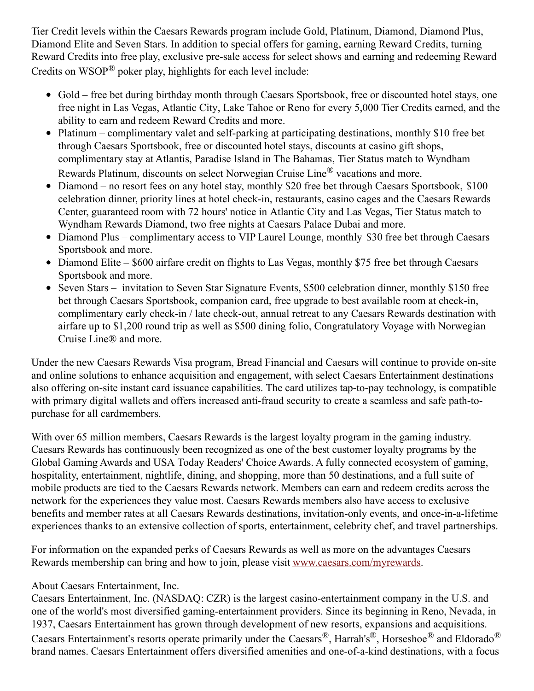Tier Credit levels within the Caesars Rewards program include Gold, Platinum, Diamond, Diamond Plus, Diamond Elite and Seven Stars. In addition to special offers for gaming, earning Reward Credits, turning Reward Credits into free play, exclusive pre-sale access for select shows and earning and redeeming Reward Credits on WSOP® poker play, highlights for each level include:

- Gold free bet during birthday month through Caesars Sportsbook, free or discounted hotel stays, one free night in Las Vegas, Atlantic City, Lake Tahoe or Reno for every 5,000 Tier Credits earned, and the ability to earn and redeem Reward Credits and more.
- Platinum complimentary valet and self-parking at participating destinations, monthly \$10 free bet through Caesars Sportsbook, free or discounted hotel stays, discounts at casino gift shops, complimentary stay at Atlantis, Paradise Island in The Bahamas, Tier Status match to Wyndham Rewards Platinum, discounts on select Norwegian Cruise Line® vacations and more.
- Diamond no resort fees on any hotel stay, monthly \$20 free bet through Caesars Sportsbook, \$100 celebration dinner, priority lines at hotel check-in, restaurants, casino cages and the Caesars Rewards Center, guaranteed room with 72 hours' notice in Atlantic City and Las Vegas, Tier Status match to Wyndham Rewards Diamond, two free nights at Caesars Palace Dubai and more.
- Diamond Plus complimentary access to VIP Laurel Lounge, monthly \$30 free bet through Caesars Sportsbook and more.
- Diamond Elite \$600 airfare credit on flights to Las Vegas, monthly \$75 free bet through Caesars Sportsbook and more.
- Seven Stars invitation to Seven Star Signature Events, \$500 celebration dinner, monthly \$150 free bet through Caesars Sportsbook, companion card, free upgrade to best available room at check-in, complimentary early check-in / late check-out, annual retreat to any Caesars Rewards destination with airfare up to \$1,200 round trip as well as \$500 dining folio, Congratulatory Voyage with Norwegian Cruise Line® and more.

Under the new Caesars Rewards Visa program, Bread Financial and Caesars will continue to provide on-site and online solutions to enhance acquisition and engagement, with select Caesars Entertainment destinations also offering on-site instant card issuance capabilities. The card utilizes tap-to-pay technology, is compatible with primary digital wallets and offers increased anti-fraud security to create a seamless and safe path-topurchase for all cardmembers.

With over 65 million members, Caesars Rewards is the largest loyalty program in the gaming industry. Caesars Rewards has continuously been recognized as one of the best customer loyalty programs by the Global Gaming Awards and USA Today Readers' Choice Awards. A fully connected ecosystem of gaming, hospitality, entertainment, nightlife, dining, and shopping, more than 50 destinations, and a full suite of mobile products are tied to the Caesars Rewards network. Members can earn and redeem credits across the network for the experiences they value most. Caesars Rewards members also have access to exclusive benefits and member rates at all Caesars Rewards destinations, invitation-only events, and once-in-a-lifetime experiences thanks to an extensive collection of sports, entertainment, celebrity chef, and travel partnerships.

For information on the expanded perks of Caesars Rewards as well as more on the advantages Caesars Rewards membership can bring and how to join, please visit [www.caesars.com/myrewards](https://c212.net/c/link/?t=0&l=en&o=3515122-1&h=3406072768&u=https%3A%2F%2Fc212.net%2Fc%2Flink%2F%3Ft%3D0%26l%3Den%26o%3D3341401-1%26h%3D2492032587%26u%3Dhttps%253A%252F%252Fc212.net%252Fc%252Flink%252F%253Ft%253D0%2526l%253Den%2526o%253D2956093-1%2526h%253D1287479314%2526u%253Dhttp%25253A%25252F%25252Fwww.caesars.com%25252Fmyrewards%2526a%253Dwww.caesars.com%25252Fmyrewards%26a%3Dwww.caesars.com%252Fmyrewards&a=www.caesars.com%2Fmyrewards).

## About Caesars Entertainment, Inc.

Caesars Entertainment, Inc. (NASDAQ: CZR) is the largest casino-entertainment company in the U.S. and one of the world's most diversified gaming-entertainment providers. Since its beginning in Reno, Nevada, in 1937, Caesars Entertainment has grown through development of new resorts, expansions and acquisitions. Caesars Entertainment's resorts operate primarily under the Caesars®, Harrah's®, Horseshoe® and Eldorado® brand names. Caesars Entertainment offers diversified amenities and one-of-a-kind destinations, with a focus